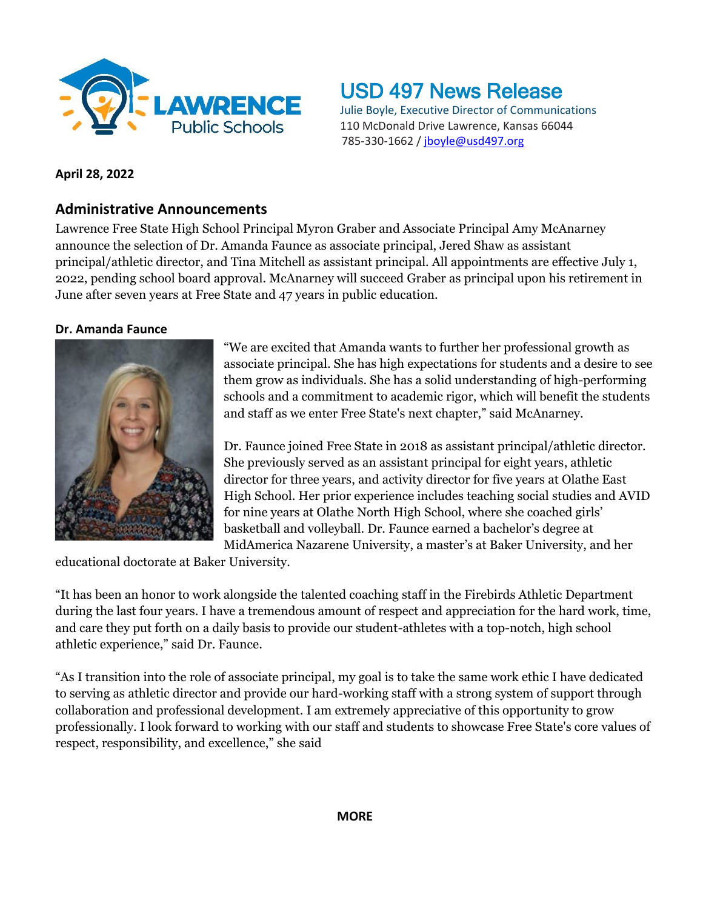

# USD 497 News Release

Julie Boyle, Executive Director of Communications 110 McDonald Drive Lawrence, Kansas 66044 785-330-1662 / [jboyle@usd497.org](mailto:jboyle@usd497.org)

## **April 28, 2022**

## **Administrative Announcements**

Lawrence Free State High School Principal Myron Graber and Associate Principal Amy McAnarney announce the selection of Dr. Amanda Faunce as associate principal, Jered Shaw as assistant principal/athletic director, and Tina Mitchell as assistant principal. All appointments are effective July 1, 2022, pending school board approval. McAnarney will succeed Graber as principal upon his retirement in June after seven years at Free State and 47 years in public education.

## **Dr. Amanda Faunce**



"We are excited that Amanda wants to further her professional growth as associate principal. She has high expectations for students and a desire to see them grow as individuals. She has a solid understanding of high-performing schools and a commitment to academic rigor, which will benefit the students and staff as we enter Free State's next chapter," said McAnarney.

Dr. Faunce joined Free State in 2018 as assistant principal/athletic director. She previously served as an assistant principal for eight years, athletic director for three years, and activity director for five years at Olathe East High School. Her prior experience includes teaching social studies and AVID for nine years at Olathe North High School, where she coached girls' basketball and volleyball. Dr. Faunce earned a bachelor's degree at MidAmerica Nazarene University, a master's at Baker University, and her

educational doctorate at Baker University.

"It has been an honor to work alongside the talented coaching staff in the Firebirds Athletic Department during the last four years. I have a tremendous amount of respect and appreciation for the hard work, time, and care they put forth on a daily basis to provide our student-athletes with a top-notch, high school athletic experience," said Dr. Faunce.

"As I transition into the role of associate principal, my goal is to take the same work ethic I have dedicated to serving as athletic director and provide our hard-working staff with a strong system of support through collaboration and professional development. I am extremely appreciative of this opportunity to grow professionally. I look forward to working with our staff and students to showcase Free State's core values of respect, responsibility, and excellence," she said